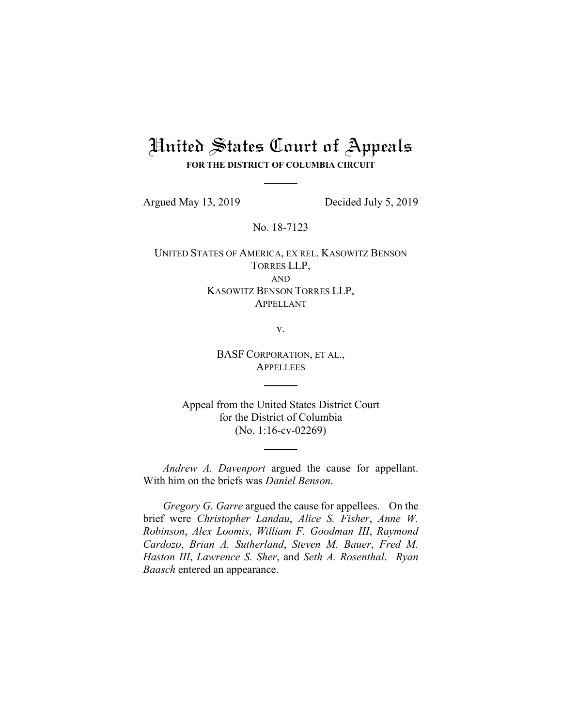# United States Court of Appeals **FOR THE DISTRICT OF COLUMBIA CIRCUIT**

Argued May 13, 2019 Decided July 5, 2019

No. 18-7123

UNITED STATES OF AMERICA, EX REL. KASOWITZ BENSON TORRES LLP, AND KASOWITZ BENSON TORRES LLP, APPELLANT

v.

BASF CORPORATION, ET AL., **APPELLEES** 

Appeal from the United States District Court for the District of Columbia (No. 1:16-cv-02269)

*Andrew A. Davenport* argued the cause for appellant. With him on the briefs was *Daniel Benson*.

*Gregory G. Garre* argued the cause for appellees. On the brief were *Christopher Landau*, *Alice S. Fisher*, *Anne W. Robinson*, *Alex Loomis*, *William F. Goodman III*, *Raymond Cardozo*, *Brian A. Sutherland*, *Steven M. Bauer*, *Fred M. Haston III*, *Lawrence S. Sher*, and *Seth A. Rosenthal*. *Ryan Baasch* entered an appearance.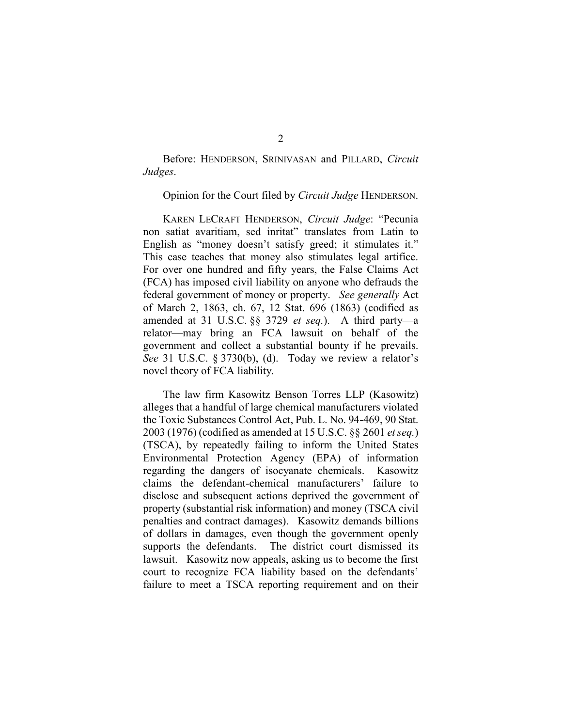Before: HENDERSON, SRINIVASAN and PILLARD, *Circuit Judges*.

Opinion for the Court filed by *Circuit Judge* HENDERSON.

KAREN LECRAFT HENDERSON, *Circuit Judge*: "Pecunia non satiat avaritiam, sed inritat" translates from Latin to English as "money doesn't satisfy greed; it stimulates it." This case teaches that money also stimulates legal artifice. For over one hundred and fifty years, the False Claims Act (FCA) has imposed civil liability on anyone who defrauds the federal government of money or property. *See generally* Act of March 2, 1863, ch. 67, 12 Stat. 696 (1863) (codified as amended at 31 U.S.C. §§ 3729 *et seq.*). A third party—a relator—may bring an FCA lawsuit on behalf of the government and collect a substantial bounty if he prevails. *See* 31 U.S.C. § 3730(b), (d). Today we review a relator's novel theory of FCA liability.

The law firm Kasowitz Benson Torres LLP (Kasowitz) alleges that a handful of large chemical manufacturers violated the Toxic Substances Control Act, Pub. L. No. 94-469, 90 Stat. 2003 (1976) (codified as amended at 15 U.S.C. §§ 2601 *et seq.*) (TSCA), by repeatedly failing to inform the United States Environmental Protection Agency (EPA) of information regarding the dangers of isocyanate chemicals. Kasowitz claims the defendant-chemical manufacturers' failure to disclose and subsequent actions deprived the government of property (substantial risk information) and money (TSCA civil penalties and contract damages). Kasowitz demands billions of dollars in damages, even though the government openly supports the defendants. The district court dismissed its lawsuit. Kasowitz now appeals, asking us to become the first court to recognize FCA liability based on the defendants' failure to meet a TSCA reporting requirement and on their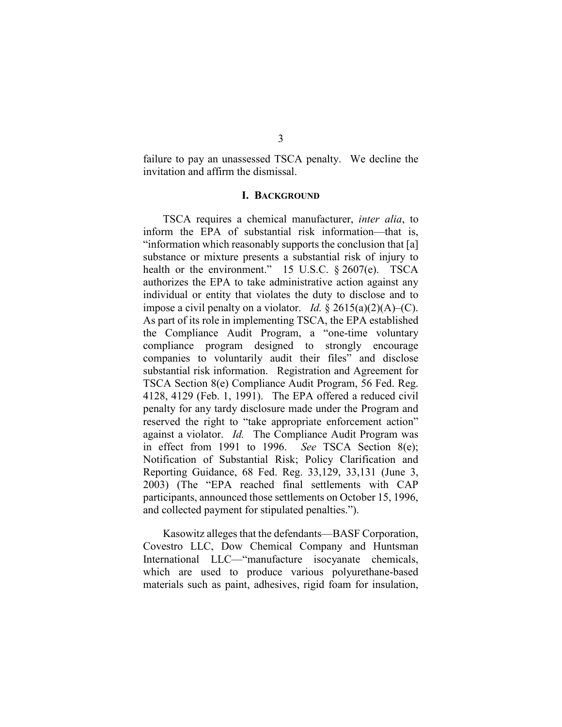failure to pay an unassessed TSCA penalty. We decline the invitation and affirm the dismissal.

## **I. BACKGROUND**

TSCA requires a chemical manufacturer, *inter alia*, to inform the EPA of substantial risk information—that is, "information which reasonably supports the conclusion that [a] substance or mixture presents a substantial risk of injury to health or the environment." 15 U.S.C. § 2607(e). TSCA authorizes the EPA to take administrative action against any individual or entity that violates the duty to disclose and to impose a civil penalty on a violator. *Id.*  $\S 2615(a)(2)(A)$ –(C). As part of its role in implementing TSCA, the EPA established the Compliance Audit Program, a "one-time voluntary compliance program designed to strongly encourage companies to voluntarily audit their files" and disclose substantial risk information. Registration and Agreement for TSCA Section 8(e) Compliance Audit Program, 56 Fed. Reg. 4128, 4129 (Feb. 1, 1991). The EPA offered a reduced civil penalty for any tardy disclosure made under the Program and reserved the right to "take appropriate enforcement action" against a violator. *Id.* The Compliance Audit Program was in effect from 1991 to 1996. *See* TSCA Section 8(e); Notification of Substantial Risk; Policy Clarification and Reporting Guidance, 68 Fed. Reg. 33,129, 33,131 (June 3, 2003) (The "EPA reached final settlements with CAP participants, announced those settlements on October 15, 1996, and collected payment for stipulated penalties.").

Kasowitz alleges that the defendants—BASF Corporation, Covestro LLC, Dow Chemical Company and Huntsman International LLC—"manufacture isocyanate chemicals, which are used to produce various polyurethane-based materials such as paint, adhesives, rigid foam for insulation,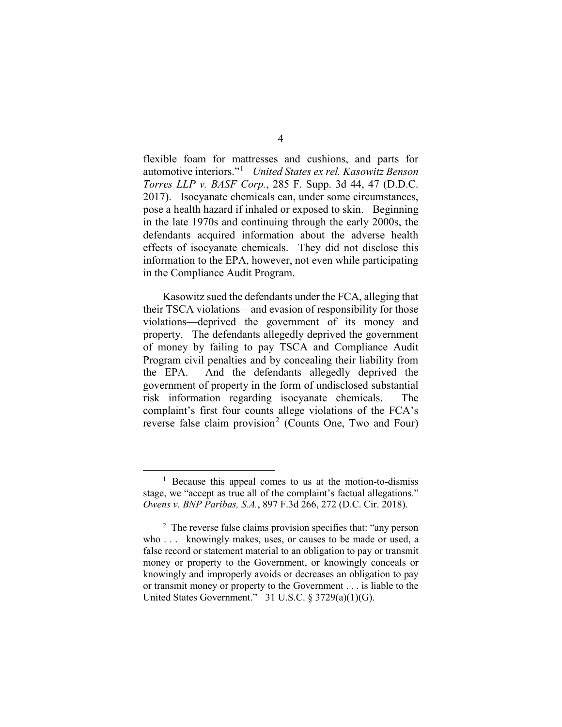flexible foam for mattresses and cushions, and parts for automotive interiors."[1](#page-3-0) *United States ex rel. Kasowitz Benson Torres LLP v. BASF Corp.*, 285 F. Supp. 3d 44, 47 (D.D.C. 2017). Isocyanate chemicals can, under some circumstances, pose a health hazard if inhaled or exposed to skin. Beginning in the late 1970s and continuing through the early 2000s, the defendants acquired information about the adverse health effects of isocyanate chemicals. They did not disclose this information to the EPA, however, not even while participating in the Compliance Audit Program.

Kasowitz sued the defendants under the FCA, alleging that their TSCA violations—and evasion of responsibility for those violations—deprived the government of its money and property. The defendants allegedly deprived the government of money by failing to pay TSCA and Compliance Audit Program civil penalties and by concealing their liability from the EPA. And the defendants allegedly deprived the government of property in the form of undisclosed substantial risk information regarding isocyanate chemicals. The complaint's first four counts allege violations of the FCA's reverse false claim provision<sup>[2](#page-3-1)</sup> (Counts One, Two and Four)

<span id="page-3-0"></span><sup>&</sup>lt;sup>1</sup> Because this appeal comes to us at the motion-to-dismiss stage, we "accept as true all of the complaint's factual allegations." *Owens v. BNP Paribas, S.A.*, 897 F.3d 266, 272 (D.C. Cir. 2018).

<span id="page-3-1"></span><sup>&</sup>lt;sup>2</sup> The reverse false claims provision specifies that: "any person" who . . . knowingly makes, uses, or causes to be made or used, a false record or statement material to an obligation to pay or transmit money or property to the Government, or knowingly conceals or knowingly and improperly avoids or decreases an obligation to pay or transmit money or property to the Government . . . is liable to the United States Government." 31 U.S.C. § 3729(a)(1)(G).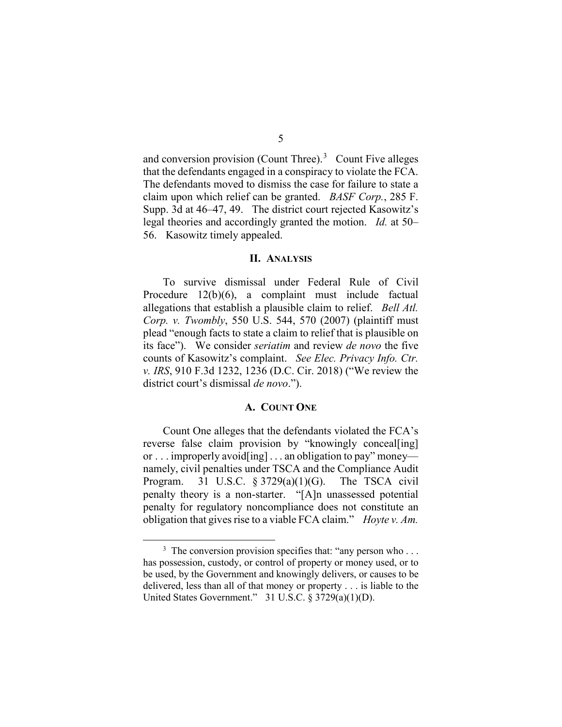and conversion provision (Count Three). $3$  Count Five alleges that the defendants engaged in a conspiracy to violate the FCA. The defendants moved to dismiss the case for failure to state a claim upon which relief can be granted. *BASF Corp.*, 285 F. Supp. 3d at 46–47, 49. The district court rejected Kasowitz's legal theories and accordingly granted the motion. *Id.* at 50– 56. Kasowitz timely appealed.

## **II. ANALYSIS**

To survive dismissal under Federal Rule of Civil Procedure 12(b)(6), a complaint must include factual allegations that establish a plausible claim to relief. *Bell Atl. Corp. v. Twombly*, 550 U.S. 544, 570 (2007) (plaintiff must plead "enough facts to state a claim to relief that is plausible on its face"). We consider *seriatim* and review *de novo* the five counts of Kasowitz's complaint. *See Elec. Privacy Info. Ctr. v. IRS*, 910 F.3d 1232, 1236 (D.C. Cir. 2018) ("We review the district court's dismissal *de novo*.").

#### **A. COUNT ONE**

Count One alleges that the defendants violated the FCA's reverse false claim provision by "knowingly conceal[ing] or . . . improperly avoid[ing] . . . an obligation to pay" money namely, civil penalties under TSCA and the Compliance Audit Program. 31 U.S.C. § 3729(a)(1)(G). The TSCA civil penalty theory is a non-starter. "[A]n unassessed potential penalty for regulatory noncompliance does not constitute an obligation that gives rise to a viable FCA claim." *Hoyte v. Am.* 

<span id="page-4-0"></span><sup>&</sup>lt;sup>3</sup> The conversion provision specifies that: "any person who . . . has possession, custody, or control of property or money used, or to be used, by the Government and knowingly delivers, or causes to be delivered, less than all of that money or property . . . is liable to the United States Government." 31 U.S.C. § 3729(a)(1)(D).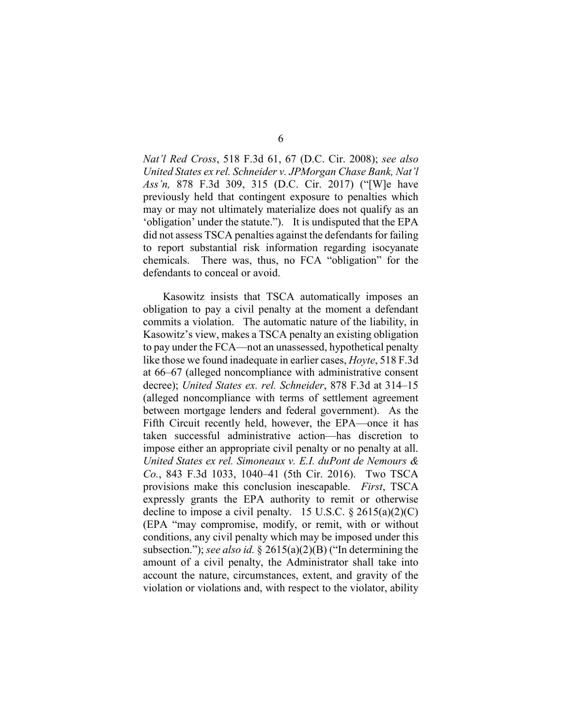*Nat'l Red Cross*, 518 F.3d 61, 67 (D.C. Cir. 2008); *see also United States ex rel. Schneider v. JPMorgan Chase Bank, Nat'l Ass'n,* 878 F.3d 309, 315 (D.C. Cir. 2017) ("[W]e have previously held that contingent exposure to penalties which may or may not ultimately materialize does not qualify as an 'obligation' under the statute."). It is undisputed that the EPA did not assess TSCA penalties against the defendants for failing to report substantial risk information regarding isocyanate chemicals. There was, thus, no FCA "obligation" for the defendants to conceal or avoid.

Kasowitz insists that TSCA automatically imposes an obligation to pay a civil penalty at the moment a defendant commits a violation. The automatic nature of the liability, in Kasowitz's view, makes a TSCA penalty an existing obligation to pay under the FCA—not an unassessed, hypothetical penalty like those we found inadequate in earlier cases, *Hoyte*, 518 F.3d at 66–67 (alleged noncompliance with administrative consent decree); *United States ex. rel. Schneider*, 878 F.3d at 314–15 (alleged noncompliance with terms of settlement agreement between mortgage lenders and federal government). As the Fifth Circuit recently held, however, the EPA—once it has taken successful administrative action—has discretion to impose either an appropriate civil penalty or no penalty at all. *United States ex rel. Simoneaux v. E.I. duPont de Nemours & Co.*, 843 F.3d 1033, 1040–41 (5th Cir. 2016). Two TSCA provisions make this conclusion inescapable. *First*, TSCA expressly grants the EPA authority to remit or otherwise decline to impose a civil penalty. 15 U.S.C.  $\S 2615(a)(2)(C)$ (EPA "may compromise, modify, or remit, with or without conditions, any civil penalty which may be imposed under this subsection."); *see also id.* § 2615(a)(2)(B) ("In determining the amount of a civil penalty, the Administrator shall take into account the nature, circumstances, extent, and gravity of the violation or violations and, with respect to the violator, ability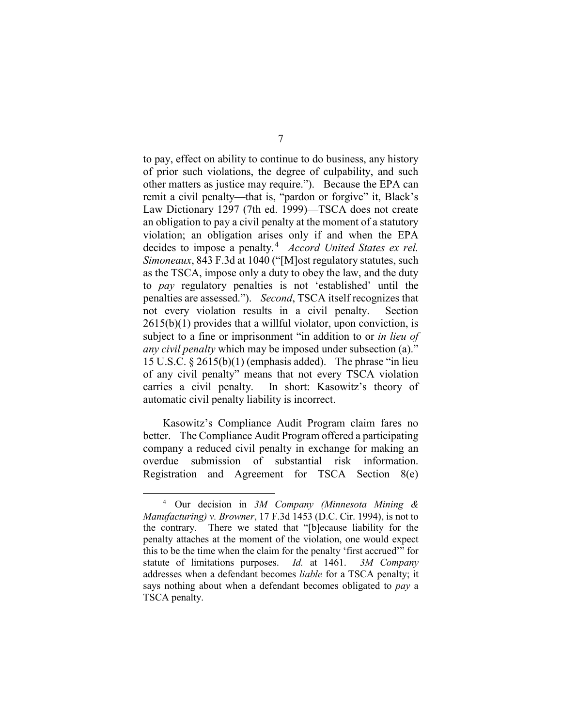to pay, effect on ability to continue to do business, any history of prior such violations, the degree of culpability, and such other matters as justice may require."). Because the EPA can remit a civil penalty—that is, "pardon or forgive" it, Black's Law Dictionary 1297 (7th ed. 1999)—TSCA does not create an obligation to pay a civil penalty at the moment of a statutory violation; an obligation arises only if and when the EPA decides to impose a penalty.<sup>[4](#page-6-0)</sup> *Accord United States ex rel. Simoneaux*, 843 F.3d at 1040 ("[M]ost regulatory statutes, such as the TSCA, impose only a duty to obey the law, and the duty to *pay* regulatory penalties is not 'established' until the penalties are assessed."). *Second*, TSCA itself recognizes that not every violation results in a civil penalty. Section  $2615(b)(1)$  provides that a willful violator, upon conviction, is subject to a fine or imprisonment "in addition to or *in lieu of any civil penalty* which may be imposed under subsection (a)." 15 U.S.C. § 2615(b)(1) (emphasis added). The phrase "in lieu of any civil penalty" means that not every TSCA violation carries a civil penalty. In short: Kasowitz's theory of automatic civil penalty liability is incorrect.

Kasowitz's Compliance Audit Program claim fares no better. The Compliance Audit Program offered a participating company a reduced civil penalty in exchange for making an overdue submission of substantial risk information. Registration and Agreement for TSCA Section 8(e)

<span id="page-6-0"></span> <sup>4</sup> Our decision in *3M Company (Minnesota Mining & Manufacturing) v. Browner*, 17 F.3d 1453 (D.C. Cir. 1994), is not to the contrary. There we stated that "[b]ecause liability for the penalty attaches at the moment of the violation, one would expect this to be the time when the claim for the penalty 'first accrued'" for statute of limitations purposes. *Id.* at 1461. *3M Company* addresses when a defendant becomes *liable* for a TSCA penalty; it says nothing about when a defendant becomes obligated to *pay* a TSCA penalty.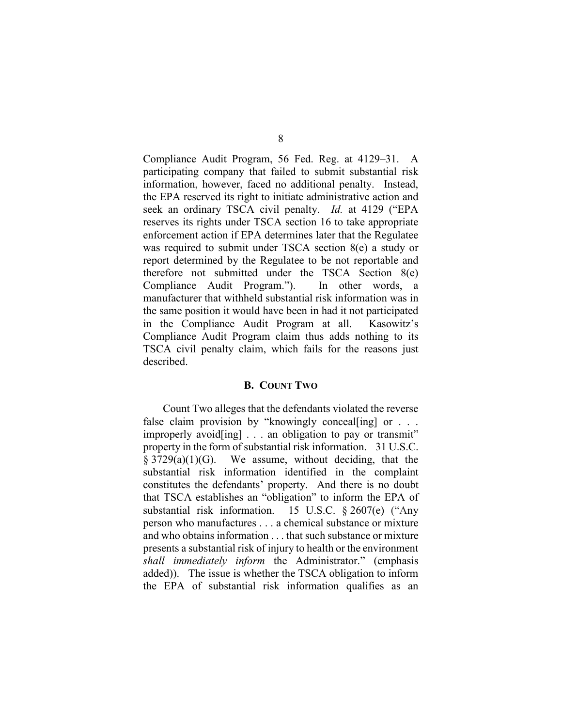Compliance Audit Program, 56 Fed. Reg. at 4129–31. A participating company that failed to submit substantial risk information, however, faced no additional penalty. Instead, the EPA reserved its right to initiate administrative action and seek an ordinary TSCA civil penalty. *Id.* at 4129 ("EPA reserves its rights under TSCA section 16 to take appropriate enforcement action if EPA determines later that the Regulatee was required to submit under TSCA section 8(e) a study or report determined by the Regulatee to be not reportable and therefore not submitted under the TSCA Section 8(e) Compliance Audit Program."). In other words, a manufacturer that withheld substantial risk information was in the same position it would have been in had it not participated in the Compliance Audit Program at all. Kasowitz's Compliance Audit Program claim thus adds nothing to its TSCA civil penalty claim, which fails for the reasons just described.

# **B. COUNT TWO**

Count Two alleges that the defendants violated the reverse false claim provision by "knowingly conceal [ing] or  $\ldots$ improperly avoid[ing] . . . an obligation to pay or transmit" property in the form of substantial risk information. 31 U.S.C.  $§ 3729(a)(1)(G)$ . We assume, without deciding, that the substantial risk information identified in the complaint constitutes the defendants' property. And there is no doubt that TSCA establishes an "obligation" to inform the EPA of substantial risk information. 15 U.S.C. § 2607(e) ("Any person who manufactures . . . a chemical substance or mixture and who obtains information . . . that such substance or mixture presents a substantial risk of injury to health or the environment *shall immediately inform* the Administrator." (emphasis added)). The issue is whether the TSCA obligation to inform the EPA of substantial risk information qualifies as an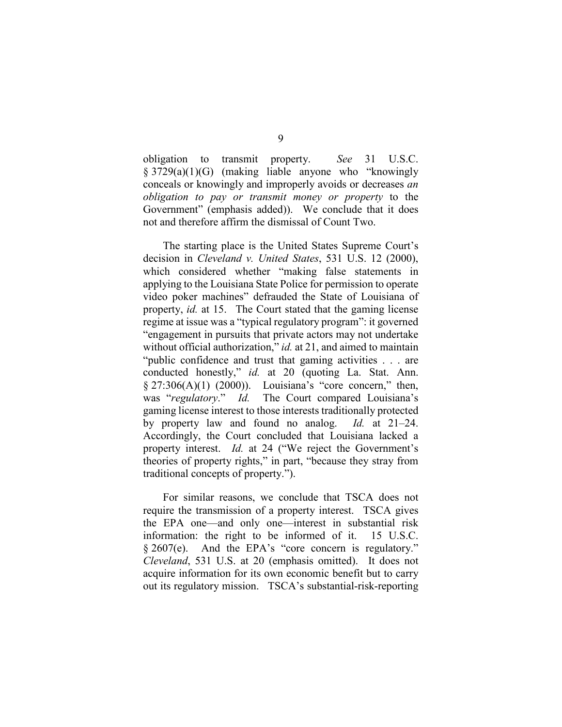obligation to transmit property. *See* 31 U.S.C. § 3729(a)(1)(G) (making liable anyone who "knowingly conceals or knowingly and improperly avoids or decreases *an obligation to pay or transmit money or property* to the Government" (emphasis added)). We conclude that it does not and therefore affirm the dismissal of Count Two.

The starting place is the United States Supreme Court's decision in *Cleveland v. United States*, 531 U.S. 12 (2000), which considered whether "making false statements in applying to the Louisiana State Police for permission to operate video poker machines" defrauded the State of Louisiana of property, *id.* at 15. The Court stated that the gaming license regime at issue was a "typical regulatory program": it governed "engagement in pursuits that private actors may not undertake without official authorization," *id.* at 21, and aimed to maintain "public confidence and trust that gaming activities . . . are conducted honestly," *id.* at 20 (quoting La. Stat. Ann.  $\S 27:306(A)(1)$  (2000)). Louisiana's "core concern," then, was "*regulatory*." *Id.* The Court compared Louisiana's gaming license interest to those interests traditionally protected by property law and found no analog. *Id.* at 21–24. Accordingly, the Court concluded that Louisiana lacked a property interest. *Id.* at 24 ("We reject the Government's theories of property rights," in part, "because they stray from traditional concepts of property.").

For similar reasons, we conclude that TSCA does not require the transmission of a property interest. TSCA gives the EPA one—and only one—interest in substantial risk information: the right to be informed of it. 15 U.S.C. § 2607(e). And the EPA's "core concern is regulatory." *Cleveland*, 531 U.S. at 20 (emphasis omitted). It does not acquire information for its own economic benefit but to carry out its regulatory mission. TSCA's substantial-risk-reporting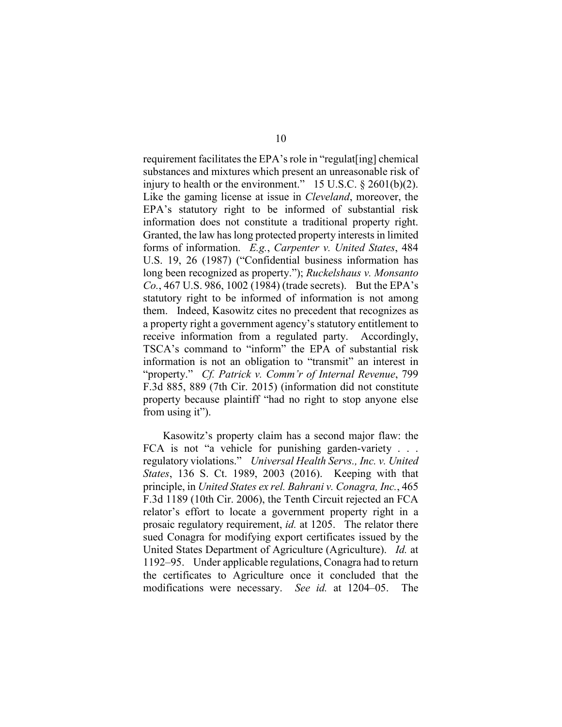requirement facilitates the EPA's role in "regulat[ing] chemical substances and mixtures which present an unreasonable risk of injury to health or the environment."  $15$  U.S.C. § 2601(b)(2). Like the gaming license at issue in *Cleveland*, moreover, the EPA's statutory right to be informed of substantial risk information does not constitute a traditional property right. Granted, the law has long protected property interests in limited forms of information. *E.g.*, *Carpenter v. United States*, 484 U.S. 19, 26 (1987) ("Confidential business information has long been recognized as property."); *Ruckelshaus v. Monsanto Co.*, 467 U.S. 986, 1002 (1984) (trade secrets). But the EPA's statutory right to be informed of information is not among them. Indeed, Kasowitz cites no precedent that recognizes as a property right a government agency's statutory entitlement to receive information from a regulated party. Accordingly, TSCA's command to "inform" the EPA of substantial risk information is not an obligation to "transmit" an interest in "property." *Cf. Patrick v. Comm'r of Internal Revenue*, 799 F.3d 885, 889 (7th Cir. 2015) (information did not constitute property because plaintiff "had no right to stop anyone else from using it").

Kasowitz's property claim has a second major flaw: the FCA is not "a vehicle for punishing garden-variety . . . regulatory violations." *Universal Health Servs., Inc. v. United States*, 136 S. Ct. 1989, 2003 (2016). Keeping with that principle, in *United States ex rel. Bahrani v. Conagra, Inc.*, 465 F.3d 1189 (10th Cir. 2006), the Tenth Circuit rejected an FCA relator's effort to locate a government property right in a prosaic regulatory requirement, *id.* at 1205. The relator there sued Conagra for modifying export certificates issued by the United States Department of Agriculture (Agriculture). *Id.* at 1192–95. Under applicable regulations, Conagra had to return the certificates to Agriculture once it concluded that the modifications were necessary. *See id.* at 1204–05. The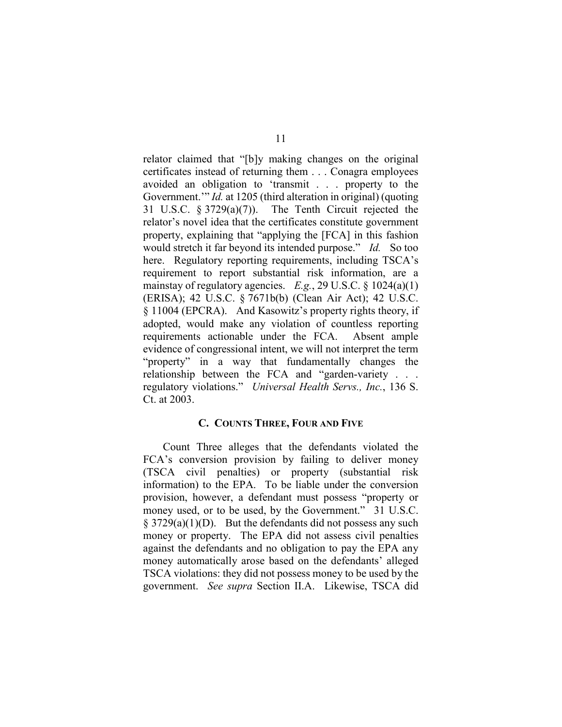relator claimed that "[b]y making changes on the original certificates instead of returning them . . . Conagra employees avoided an obligation to 'transmit . . . property to the Government." *Id.* at 1205 (third alteration in original) (quoting 31 U.S.C. § 3729(a)(7)). The Tenth Circuit rejected the relator's novel idea that the certificates constitute government property, explaining that "applying the [FCA] in this fashion would stretch it far beyond its intended purpose." *Id.* So too here. Regulatory reporting requirements, including TSCA's requirement to report substantial risk information, are a mainstay of regulatory agencies. *E.g.*, 29 U.S.C. § 1024(a)(1) (ERISA); 42 U.S.C. § 7671b(b) (Clean Air Act); 42 U.S.C. § 11004 (EPCRA). And Kasowitz's property rights theory, if adopted, would make any violation of countless reporting requirements actionable under the FCA. Absent ample evidence of congressional intent, we will not interpret the term "property" in a way that fundamentally changes the relationship between the FCA and "garden-variety . . . regulatory violations." *Universal Health Servs., Inc.*, 136 S. Ct. at 2003.

# **C. COUNTS THREE, FOUR AND FIVE**

Count Three alleges that the defendants violated the FCA's conversion provision by failing to deliver money (TSCA civil penalties) or property (substantial risk information) to the EPA. To be liable under the conversion provision, however, a defendant must possess "property or money used, or to be used, by the Government." 31 U.S.C.  $\S$  3729(a)(1)(D). But the defendants did not possess any such money or property. The EPA did not assess civil penalties against the defendants and no obligation to pay the EPA any money automatically arose based on the defendants' alleged TSCA violations: they did not possess money to be used by the government. *See supra* Section II.A. Likewise, TSCA did